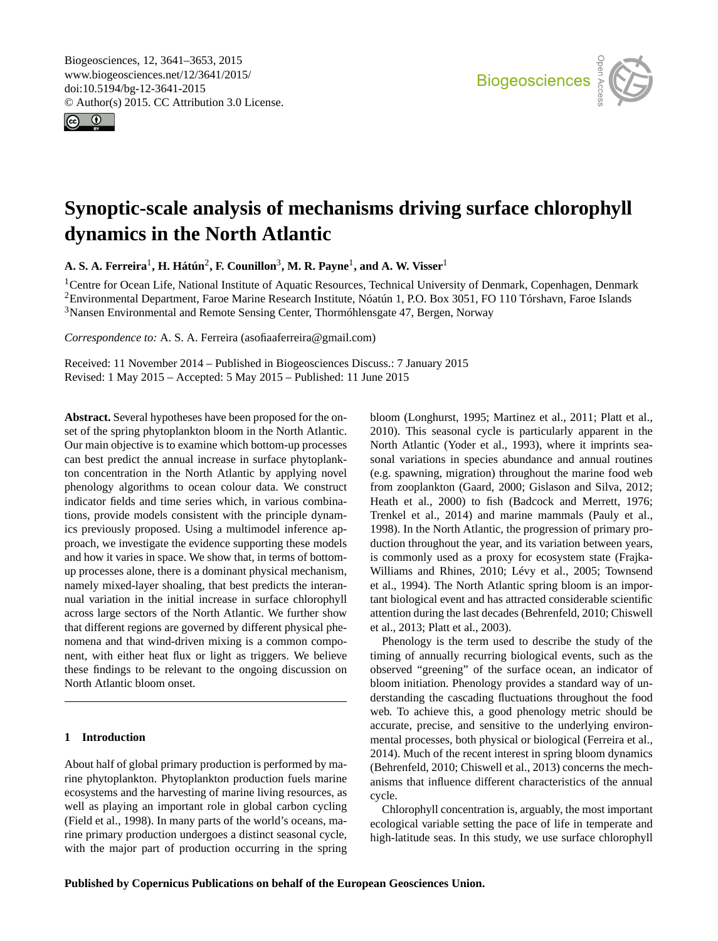<span id="page-0-1"></span>Biogeosciences, 12, 3641–3653, 2015 www.biogeosciences.net/12/3641/2015/ doi:10.5194/bg-12-3641-2015 © Author(s) 2015. CC Attribution 3.0 License.





# **Synoptic-scale analysis of mechanisms driving surface chlorophyll dynamics in the North Atlantic**

**A. S. A. Ferreira**[1](#page-0-0) **, H. Hátún**[2](#page-0-0) **, F. Counillon**[3](#page-0-0) **, M. R. Payne**[1](#page-0-0) **, and A. W. Visser**[1](#page-0-0)

<sup>1</sup>Centre for Ocean Life, National Institute of Aquatic Resources, Technical University of Denmark, Copenhagen, Denmark <sup>2</sup>Environmental Department, Faroe Marine Research Institute, Nóatún 1, P.O. Box 3051, FO 110 Tórshavn, Faroe Islands <sup>3</sup>Nansen Environmental and Remote Sensing Center, Thormóhlensgate 47, Bergen, Norway

*Correspondence to:* A. S. A. Ferreira (asofiaaferreira@gmail.com)

Received: 11 November 2014 – Published in Biogeosciences Discuss.: 7 January 2015 Revised: 1 May 2015 – Accepted: 5 May 2015 – Published: 11 June 2015

<span id="page-0-0"></span>**Abstract.** Several hypotheses have been proposed for the onset of the spring phytoplankton bloom in the North Atlantic. Our main objective is to examine which bottom-up processes can best predict the annual increase in surface phytoplankton concentration in the North Atlantic by applying novel phenology algorithms to ocean colour data. We construct indicator fields and time series which, in various combinations, provide models consistent with the principle dynamics previously proposed. Using a multimodel inference approach, we investigate the evidence supporting these models and how it varies in space. We show that, in terms of bottomup processes alone, there is a dominant physical mechanism, namely mixed-layer shoaling, that best predicts the interannual variation in the initial increase in surface chlorophyll across large sectors of the North Atlantic. We further show that different regions are governed by different physical phenomena and that wind-driven mixing is a common component, with either heat flux or light as triggers. We believe these findings to be relevant to the ongoing discussion on North Atlantic bloom onset.

# **1 Introduction**

About half of global primary production is performed by marine phytoplankton. Phytoplankton production fuels marine ecosystems and the harvesting of marine living resources, as well as playing an important role in global carbon cycling [\(Field et al.,](#page-10-0) [1998\)](#page-10-0). In many parts of the world's oceans, marine primary production undergoes a distinct seasonal cycle, with the major part of production occurring in the spring bloom [\(Longhurst,](#page-11-0) [1995;](#page-11-0) [Martinez et al.,](#page-11-1) [2011;](#page-11-1) [Platt et al.,](#page-11-2) [2010\)](#page-11-2). This seasonal cycle is particularly apparent in the North Atlantic [\(Yoder et al.,](#page-12-0) [1993\)](#page-12-0), where it imprints seasonal variations in species abundance and annual routines (e.g. spawning, migration) throughout the marine food web from zooplankton [\(Gaard,](#page-10-1) [2000;](#page-10-1) [Gislason and Silva,](#page-11-3) [2012;](#page-11-3) [Heath et al.,](#page-11-4) [2000\)](#page-11-4) to fish [\(Badcock and Merrett,](#page-10-2) [1976;](#page-10-2) [Trenkel et al.,](#page-12-1) [2014\)](#page-12-1) and marine mammals [\(Pauly et al.,](#page-11-5) [1998\)](#page-11-5). In the North Atlantic, the progression of primary production throughout the year, and its variation between years, is commonly used as a proxy for ecosystem state [\(Frajka-](#page-10-3)[Williams and Rhines,](#page-10-3) [2010;](#page-10-3) [Lévy et al.,](#page-11-6) [2005;](#page-11-6) [Townsend](#page-12-2) [et al.,](#page-12-2) [1994\)](#page-12-2). The North Atlantic spring bloom is an important biological event and has attracted considerable scientific attention during the last decades [\(Behrenfeld,](#page-10-4) [2010;](#page-10-4) [Chiswell](#page-10-5) [et al.,](#page-10-5) [2013;](#page-10-5) [Platt et al.,](#page-11-7) [2003\)](#page-11-7).

Phenology is the term used to describe the study of the timing of annually recurring biological events, such as the observed "greening" of the surface ocean, an indicator of bloom initiation. Phenology provides a standard way of understanding the cascading fluctuations throughout the food web. To achieve this, a good phenology metric should be accurate, precise, and sensitive to the underlying environmental processes, both physical or biological [\(Ferreira et al.,](#page-10-6) [2014\)](#page-10-6). Much of the recent interest in spring bloom dynamics [\(Behrenfeld,](#page-10-4) [2010;](#page-10-4) [Chiswell et al.,](#page-10-5) [2013\)](#page-10-5) concerns the mechanisms that influence different characteristics of the annual cycle.

Chlorophyll concentration is, arguably, the most important ecological variable setting the pace of life in temperate and high-latitude seas. In this study, we use surface chlorophyll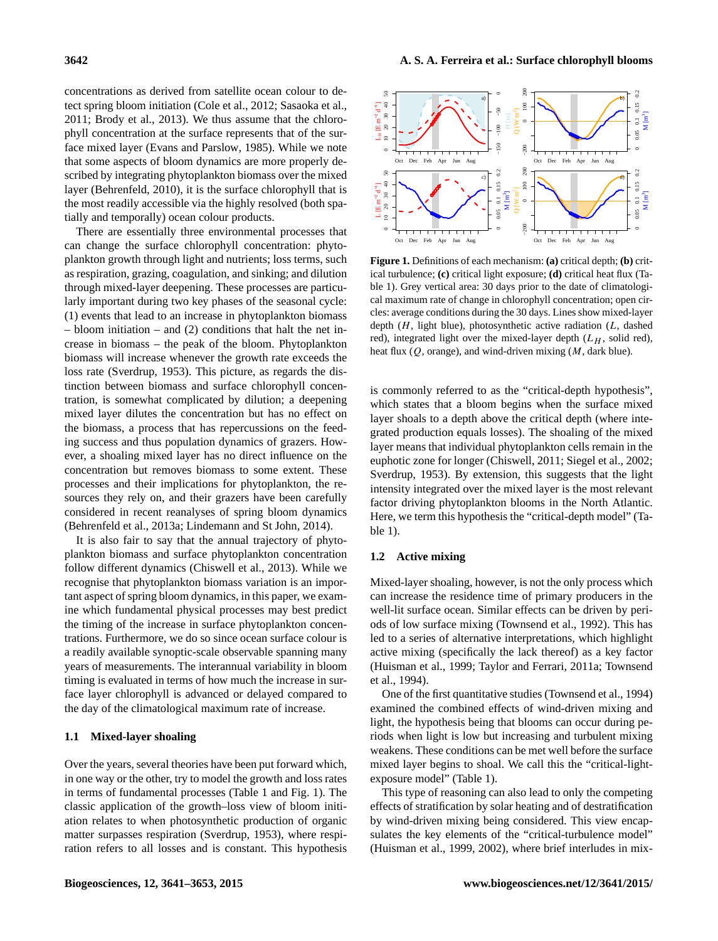concentrations as derived from satellite ocean colour to detect spring bloom initiation [\(Cole et al.,](#page-10-7) [2012;](#page-10-7) [Sasaoka et al.,](#page-11-8) [2011;](#page-11-8) [Brody et al.,](#page-10-8) [2013\)](#page-10-8). We thus assume that the chlorophyll concentration at the surface represents that of the surface mixed layer [\(Evans and Parslow,](#page-10-9) [1985\)](#page-10-9). While we note that some aspects of bloom dynamics are more properly described by integrating phytoplankton biomass over the mixed layer [\(Behrenfeld,](#page-10-4) [2010\)](#page-10-4), it is the surface chlorophyll that is the most readily accessible via the highly resolved (both spatially and temporally) ocean colour products.

There are essentially three environmental processes that can change the surface chlorophyll concentration: phytoplankton growth through light and nutrients; loss terms, such as respiration, grazing, coagulation, and sinking; and dilution through mixed-layer deepening. These processes are particularly important during two key phases of the seasonal cycle: (1) events that lead to an increase in phytoplankton biomass – bloom initiation – and (2) conditions that halt the net increase in biomass – the peak of the bloom. Phytoplankton biomass will increase whenever the growth rate exceeds the loss rate [\(Sverdrup,](#page-12-3) [1953\)](#page-12-3). This picture, as regards the distinction between biomass and surface chlorophyll concentration, is somewhat complicated by dilution; a deepening mixed layer dilutes the concentration but has no effect on the biomass, a process that has repercussions on the feeding success and thus population dynamics of grazers. However, a shoaling mixed layer has no direct influence on the concentration but removes biomass to some extent. These processes and their implications for phytoplankton, the resources they rely on, and their grazers have been carefully considered in recent reanalyses of spring bloom dynamics [\(Behrenfeld et al.,](#page-10-10) [2013a;](#page-10-10) [Lindemann and St John,](#page-11-9) [2014\)](#page-11-9). 2011 Fig. 2013 = We have a starter to all loss and starter to all loss and the constant in the constant in the constant in the constant in the constant in the constant in the constant in the constant in the constant in

It is also fair to say that the annual trajectory of phytoplankton biomass and surface phytoplankton concentration follow different dynamics [\(Chiswell et al.,](#page-10-5) [2013\)](#page-10-5). While we recognise that phytoplankton biomass variation is an important aspect of spring bloom dynamics, in this paper, we examine which fundamental physical processes may best predict the timing of the increase in surface phytoplankton concentrations. Furthermore, we do so since ocean surface colour is a readily available synoptic-scale observable spanning many years of measurements. The interannual variability in bloom timing is evaluated in terms of how much the increase in surface layer chlorophyll is advanced or delayed compared to the day of the climatological maximum rate of increase.

#### **1.1 Mixed-layer shoaling**

Over the years, several theories have been put forward which, in one way or the other, try to model the growth and loss rates in terms of fundamental processes (Table [1](#page-2-0) and Fig. [1\)](#page-1-0). The classic application of the growth–loss view of bloom initiation relates to when photosynthetic production of organic matter surpasses respiration [\(Sverdrup,](#page-12-3) [1953\)](#page-12-3), where respi-

<span id="page-1-0"></span>

**Figure 1.** Definitions of each mechanism: **(a)** critical depth; **(b)** critical turbulence; **(c)** critical light exposure; **(d)** critical heat flux (Table [1\)](#page-2-0). Grey vertical area: 30 days prior to the date of climatological maximum rate of change in chlorophyll concentration; open circles: average conditions during the 30 days. Lines show mixed-layer depth  $(H,$  light blue), photosynthetic active radiation  $(L,$  dashed red), integrated light over the mixed-layer depth  $(L_H, \text{ solid red}),$ heat flux  $(Q, \text{orange})$ , and wind-driven mixing  $(M, \text{dark blue})$ .

is commonly referred to as the "critical-depth hypothesis", which states that a bloom begins when the surface mixed layer shoals to a depth above the critical depth (where integrated production equals losses). The shoaling of the mixed layer means that individual phytoplankton cells remain in the euphotic zone for longer [\(Chiswell,](#page-10-11) [2011;](#page-10-11) [Siegel et al.,](#page-11-10) [2002;](#page-11-10) [Sverdrup,](#page-12-3) [1953\)](#page-12-3). By extension, this suggests that the light intensity integrated over the mixed layer is the most relevant factor driving phytoplankton blooms in the North Atlantic. Here, we term this hypothesis the "critical-depth model" (Table [1\)](#page-2-0).

# **1.2 Active mixing**

Mixed-layer shoaling, however, is not the only process which can increase the residence time of primary producers in the well-lit surface ocean. Similar effects can be driven by periods of low surface mixing [\(Townsend et al.,](#page-12-4) [1992\)](#page-12-4). This has led to a series of alternative interpretations, which highlight active mixing (specifically the lack thereof) as a key factor [\(Huisman et al.,](#page-11-11) [1999;](#page-11-11) [Taylor and Ferrari,](#page-12-5) [2011a;](#page-12-5) [Townsend](#page-12-2) [et al.,](#page-12-2) [1994\)](#page-12-2).

One of the first quantitative studies [\(Townsend et al.,](#page-12-2) [1994\)](#page-12-2) examined the combined effects of wind-driven mixing and light, the hypothesis being that blooms can occur during periods when light is low but increasing and turbulent mixing weakens. These conditions can be met well before the surface mixed layer begins to shoal. We call this the "critical-lightexposure model" (Table [1\)](#page-2-0).

This type of reasoning can also lead to only the competing effects of stratification by solar heating and of destratification by wind-driven mixing being considered. This view encapsulates the key elements of the "critical-turbulence model" [\(Huisman et al.,](#page-11-11) [1999,](#page-11-11) [2002\)](#page-11-12), where brief interludes in mix-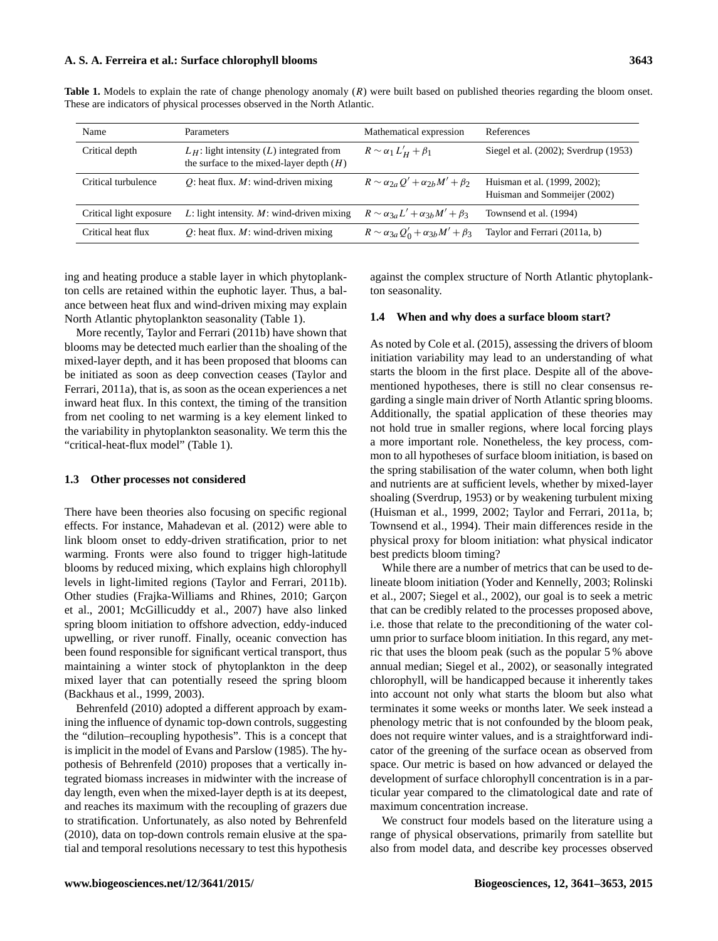| Name                    | Parameters                                                                                | Mathematical expression                              | References                                                   |
|-------------------------|-------------------------------------------------------------------------------------------|------------------------------------------------------|--------------------------------------------------------------|
| Critical depth          | $L_H$ : light intensity (L) integrated from<br>the surface to the mixed-layer depth $(H)$ | $R \sim \alpha_1 L_H' + \beta_1$                     | Siegel et al. (2002); Sverdrup (1953)                        |
| Critical turbulence     | Q: heat flux. $M$ : wind-driven mixing                                                    | $R \sim \alpha_{2a} Q' + \alpha_{2b} M' + \beta_2$   | Huisman et al. (1999, 2002);<br>Huisman and Sommeijer (2002) |
| Critical light exposure | $L$ : light intensity. M: wind-driven mixing                                              | $R \sim \alpha_{3a}L' + \alpha_{3b}M' + \beta_3$     | Townsend et al. (1994)                                       |
| Critical heat flux      | O: heat flux. $M$ : wind-driven mixing                                                    | $R \sim \alpha_{3a} Q_0' + \alpha_{3b} M' + \beta_3$ | Taylor and Ferrari (2011a, b)                                |

<span id="page-2-0"></span>**Table 1.** Models to explain the rate of change phenology anomaly (R) were built based on published theories regarding the bloom onset. These are indicators of physical processes observed in the North Atlantic.

ing and heating produce a stable layer in which phytoplankton cells are retained within the euphotic layer. Thus, a balance between heat flux and wind-driven mixing may explain North Atlantic phytoplankton seasonality (Table [1\)](#page-2-0).

More recently, [Taylor and Ferrari](#page-12-6) [\(2011b\)](#page-12-6) have shown that blooms may be detected much earlier than the shoaling of the mixed-layer depth, and it has been proposed that blooms can be initiated as soon as deep convection ceases [\(Taylor and](#page-12-5) [Ferrari,](#page-12-5) [2011a\)](#page-12-5), that is, as soon as the ocean experiences a net inward heat flux. In this context, the timing of the transition from net cooling to net warming is a key element linked to the variability in phytoplankton seasonality. We term this the "critical-heat-flux model" (Table [1\)](#page-2-0).

#### **1.3 Other processes not considered**

There have been theories also focusing on specific regional effects. For instance, [Mahadevan et al.](#page-11-14) [\(2012\)](#page-11-14) were able to link bloom onset to eddy-driven stratification, prior to net warming. Fronts were also found to trigger high-latitude blooms by reduced mixing, which explains high chlorophyll levels in light-limited regions [\(Taylor and Ferrari,](#page-12-6) [2011b\)](#page-12-6). Other studies [\(Frajka-Williams and Rhines,](#page-10-3) [2010;](#page-10-3) [Garçon](#page-10-12) [et al.,](#page-10-12) [2001;](#page-10-12) [McGillicuddy et al.,](#page-11-15) [2007\)](#page-11-15) have also linked spring bloom initiation to offshore advection, eddy-induced upwelling, or river runoff. Finally, oceanic convection has been found responsible for significant vertical transport, thus maintaining a winter stock of phytoplankton in the deep mixed layer that can potentially reseed the spring bloom [\(Backhaus et al.,](#page-10-13) [1999,](#page-10-13) [2003\)](#page-10-14).

[Behrenfeld](#page-10-4) [\(2010\)](#page-10-4) adopted a different approach by examining the influence of dynamic top-down controls, suggesting the "dilution–recoupling hypothesis". This is a concept that is implicit in the model of [Evans and Parslow](#page-10-9) [\(1985\)](#page-10-9). The hypothesis of [Behrenfeld](#page-10-4) [\(2010\)](#page-10-4) proposes that a vertically integrated biomass increases in midwinter with the increase of day length, even when the mixed-layer depth is at its deepest, and reaches its maximum with the recoupling of grazers due to stratification. Unfortunately, as also noted by [Behrenfeld](#page-10-4) [\(2010\)](#page-10-4), data on top-down controls remain elusive at the spatial and temporal resolutions necessary to test this hypothesis against the complex structure of North Atlantic phytoplankton seasonality.

# **1.4 When and why does a surface bloom start?**

As noted by [Cole et al.](#page-10-15) [\(2015\)](#page-10-15), assessing the drivers of bloom initiation variability may lead to an understanding of what starts the bloom in the first place. Despite all of the abovementioned hypotheses, there is still no clear consensus regarding a single main driver of North Atlantic spring blooms. Additionally, the spatial application of these theories may not hold true in smaller regions, where local forcing plays a more important role. Nonetheless, the key process, common to all hypotheses of surface bloom initiation, is based on the spring stabilisation of the water column, when both light and nutrients are at sufficient levels, whether by mixed-layer shoaling [\(Sverdrup,](#page-12-3) [1953\)](#page-12-3) or by weakening turbulent mixing [\(Huisman et al.,](#page-11-11) [1999,](#page-11-11) [2002;](#page-11-12) [Taylor and Ferrari,](#page-12-5) [2011a,](#page-12-5) [b;](#page-12-6) [Townsend et al.,](#page-12-2) [1994\)](#page-12-2). Their main differences reside in the physical proxy for bloom initiation: what physical indicator best predicts bloom timing?

While there are a number of metrics that can be used to delineate bloom initiation [\(Yoder and Kennelly,](#page-12-7) [2003;](#page-12-7) [Rolinski](#page-11-16) [et al.,](#page-11-16) [2007;](#page-11-16) [Siegel et al.,](#page-11-10) [2002\)](#page-11-10), our goal is to seek a metric that can be credibly related to the processes proposed above, i.e. those that relate to the preconditioning of the water column prior to surface bloom initiation. In this regard, any metric that uses the bloom peak (such as the popular 5 % above annual median; [Siegel et al.,](#page-11-10) [2002\)](#page-11-10), or seasonally integrated chlorophyll, will be handicapped because it inherently takes into account not only what starts the bloom but also what terminates it some weeks or months later. We seek instead a phenology metric that is not confounded by the bloom peak, does not require winter values, and is a straightforward indicator of the greening of the surface ocean as observed from space. Our metric is based on how advanced or delayed the development of surface chlorophyll concentration is in a particular year compared to the climatological date and rate of maximum concentration increase.

We construct four models based on the literature using a range of physical observations, primarily from satellite but also from model data, and describe key processes observed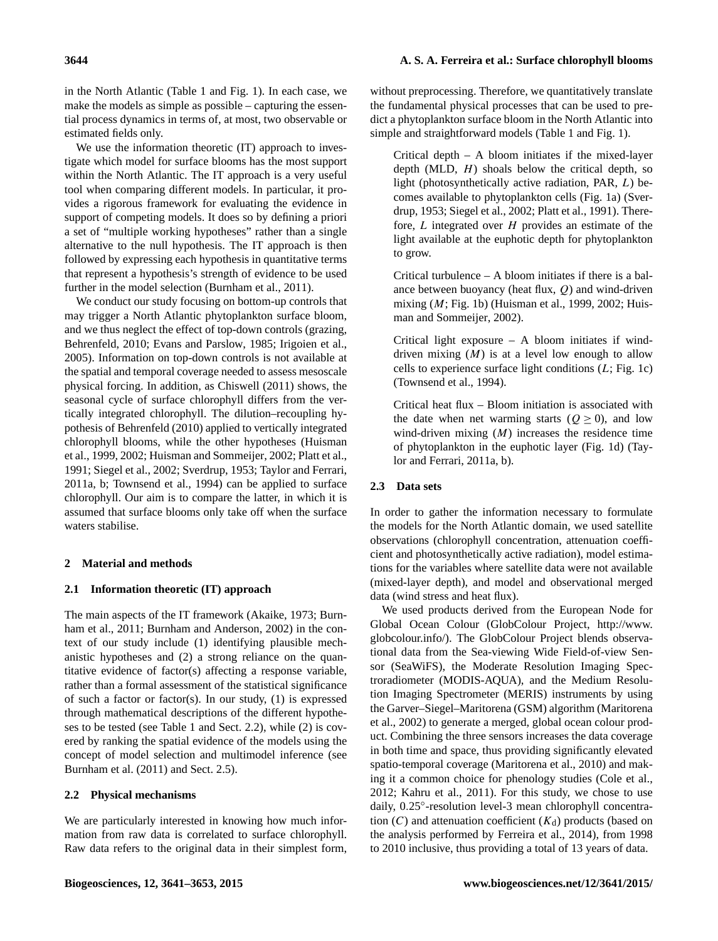in the North Atlantic (Table [1](#page-2-0) and Fig. [1\)](#page-1-0). In each case, we make the models as simple as possible – capturing the essential process dynamics in terms of, at most, two observable or estimated fields only.

We use the information theoretic (IT) approach to investigate which model for surface blooms has the most support within the North Atlantic. The IT approach is a very useful tool when comparing different models. In particular, it provides a rigorous framework for evaluating the evidence in support of competing models. It does so by defining a priori a set of "multiple working hypotheses" rather than a single alternative to the null hypothesis. The IT approach is then followed by expressing each hypothesis in quantitative terms that represent a hypothesis's strength of evidence to be used further in the model selection [\(Burnham et al.,](#page-10-16) [2011\)](#page-10-16).

We conduct our study focusing on bottom-up controls that may trigger a North Atlantic phytoplankton surface bloom, and we thus neglect the effect of top-down controls (grazing, [Behrenfeld,](#page-10-4) [2010;](#page-10-4) [Evans and Parslow,](#page-10-9) [1985;](#page-10-9) [Irigoien et al.,](#page-11-17) [2005\)](#page-11-17). Information on top-down controls is not available at the spatial and temporal coverage needed to assess mesoscale physical forcing. In addition, as [Chiswell](#page-10-11) [\(2011\)](#page-10-11) shows, the seasonal cycle of surface chlorophyll differs from the vertically integrated chlorophyll. The dilution–recoupling hypothesis of [Behrenfeld](#page-10-4) [\(2010\)](#page-10-4) applied to vertically integrated chlorophyll blooms, while the other hypotheses [\(Huisman](#page-11-11) [et al.,](#page-11-11) [1999,](#page-11-11) [2002;](#page-11-12) [Huisman and Sommeijer,](#page-11-13) [2002;](#page-11-13) [Platt et al.,](#page-11-18) [1991;](#page-11-18) [Siegel et al.,](#page-11-10) [2002;](#page-11-10) [Sverdrup,](#page-12-3) [1953;](#page-12-3) [Taylor and Ferrari,](#page-12-5) [2011a,](#page-12-5) [b;](#page-12-6) [Townsend et al.,](#page-12-2) [1994\)](#page-12-2) can be applied to surface chlorophyll. Our aim is to compare the latter, in which it is assumed that surface blooms only take off when the surface waters stabilise.

# **2 Material and methods**

# **2.1 Information theoretic (IT) approach**

The main aspects of the IT framework [\(Akaike,](#page-10-17) [1973;](#page-10-17) [Burn](#page-10-16)[ham et al.,](#page-10-16) [2011;](#page-10-16) [Burnham and Anderson,](#page-10-18) [2002\)](#page-10-18) in the context of our study include (1) identifying plausible mechanistic hypotheses and (2) a strong reliance on the quantitative evidence of factor(s) affecting a response variable, rather than a formal assessment of the statistical significance of such a factor or factor(s). In our study, (1) is expressed through mathematical descriptions of the different hypotheses to be tested (see Table [1](#page-2-0) and Sect. [2.2\)](#page-3-0), while (2) is covered by ranking the spatial evidence of the models using the concept of model selection and multimodel inference (see [Burnham et al.](#page-10-16) [\(2011\)](#page-10-16) and Sect. [2.5\)](#page-5-0).

#### <span id="page-3-0"></span>**2.2 Physical mechanisms**

We are particularly interested in knowing how much information from raw data is correlated to surface chlorophyll. Raw data refers to the original data in their simplest form,

without preprocessing. Therefore, we quantitatively translate the fundamental physical processes that can be used to predict a phytoplankton surface bloom in the North Atlantic into simple and straightforward models (Table [1](#page-2-0) and Fig. [1\)](#page-1-0).

Critical depth – A bloom initiates if the mixed-layer depth (MLD,  $H$ ) shoals below the critical depth, so light (photosynthetically active radiation, PAR, L) becomes available to phytoplankton cells (Fig. [1a](#page-1-0)) [\(Sver](#page-12-3)[drup,](#page-12-3) [1953;](#page-12-3) [Siegel et al.,](#page-11-10) [2002;](#page-11-10) [Platt et al.,](#page-11-18) [1991\)](#page-11-18). Therefore,  $L$  integrated over  $H$  provides an estimate of the light available at the euphotic depth for phytoplankton to grow.

Critical turbulence – A bloom initiates if there is a balance between buoyancy (heat flux,  $O$ ) and wind-driven mixing  $(M; Fig. 1b)$  $(M; Fig. 1b)$  $(M; Fig. 1b)$  [\(Huisman et al.,](#page-11-11) [1999,](#page-11-11) [2002;](#page-11-12) [Huis](#page-11-13)[man and Sommeijer,](#page-11-13) [2002\)](#page-11-13).

Critical light exposure – A bloom initiates if winddriven mixing  $(M)$  is at a level low enough to allow cells to experience surface light conditions  $(L; Fig. 1c)$  $(L; Fig. 1c)$  $(L; Fig. 1c)$ [\(Townsend et al.,](#page-12-2) [1994\)](#page-12-2).

Critical heat flux – Bloom initiation is associated with the date when net warming starts  $(Q > 0)$ , and low wind-driven mixing  $(M)$  increases the residence time of phytoplankton in the euphotic layer (Fig. [1d](#page-1-0)) [\(Tay](#page-12-5)[lor and Ferrari,](#page-12-5) [2011a,](#page-12-5) [b\)](#page-12-6).

#### **2.3 Data sets**

In order to gather the information necessary to formulate the models for the North Atlantic domain, we used satellite observations (chlorophyll concentration, attenuation coefficient and photosynthetically active radiation), model estimations for the variables where satellite data were not available (mixed-layer depth), and model and observational merged data (wind stress and heat flux).

We used products derived from the European Node for Global Ocean Colour (GlobColour Project, [http://www.](http://www.globcolour.info/) [globcolour.info/\)](http://www.globcolour.info/). The GlobColour Project blends observational data from the Sea-viewing Wide Field-of-view Sensor (SeaWiFS), the Moderate Resolution Imaging Spectroradiometer (MODIS-AQUA), and the Medium Resolution Imaging Spectrometer (MERIS) instruments by using the Garver–Siegel–Maritorena (GSM) algorithm [\(Maritorena](#page-11-19) [et al.,](#page-11-19) [2002\)](#page-11-19) to generate a merged, global ocean colour product. Combining the three sensors increases the data coverage in both time and space, thus providing significantly elevated spatio-temporal coverage [\(Maritorena et al.,](#page-11-20) [2010\)](#page-11-20) and making it a common choice for phenology studies [\(Cole et al.,](#page-10-7) [2012;](#page-10-7) [Kahru et al.,](#page-11-21) [2011\)](#page-11-21). For this study, we chose to use daily, 0.25◦ -resolution level-3 mean chlorophyll concentration  $(C)$  and attenuation coefficient  $(K_d)$  products (based on the analysis performed by [Ferreira et al.,](#page-10-6) [2014\)](#page-10-6), from 1998 to 2010 inclusive, thus providing a total of 13 years of data.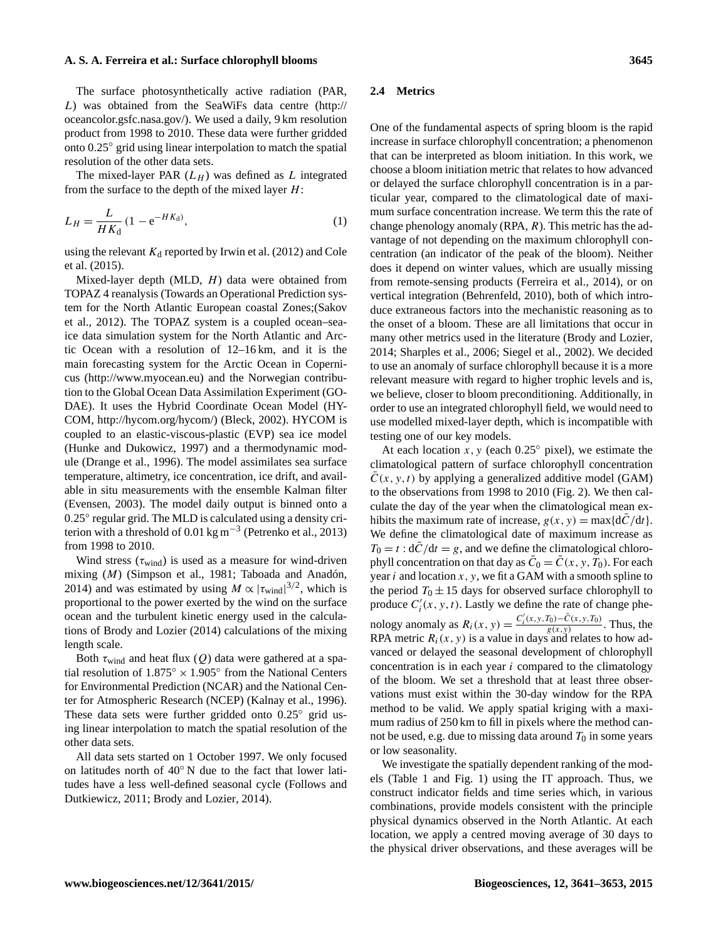The surface photosynthetically active radiation (PAR, L) was obtained from the SeaWiFs data centre [\(http://](http://oceancolor.gsfc.nasa.gov/) [oceancolor.gsfc.nasa.gov/\)](http://oceancolor.gsfc.nasa.gov/). We used a daily, 9 km resolution product from 1998 to 2010. These data were further gridded onto 0.25◦ grid using linear interpolation to match the spatial resolution of the other data sets.

The mixed-layer PAR  $(L_H)$  was defined as L integrated from the surface to the depth of the mixed layer  $H$ :

$$
L_H = \frac{L}{HK_{\rm d}} \left(1 - e^{-HK_{\rm d}}\right),\tag{1}
$$

using the relevant  $K_d$  reported by [Irwin et al.](#page-11-22) [\(2012\)](#page-11-22) and [Cole](#page-10-15) [et al.](#page-10-15) [\(2015\)](#page-10-15).

Mixed-layer depth (MLD,  $H$ ) data were obtained from TOPAZ 4 reanalysis (Towards an Operational Prediction system for the North Atlantic European coastal Zones;[\(Sakov](#page-11-23) [et al.,](#page-11-23) [2012\)](#page-11-23). The TOPAZ system is a coupled ocean–seaice data simulation system for the North Atlantic and Arctic Ocean with a resolution of 12–16 km, and it is the main forecasting system for the Arctic Ocean in Copernicus [\(http://www.myocean.eu\)](http://www.myocean.eu) and the Norwegian contribution to the Global Ocean Data Assimilation Experiment (GO-DAE). It uses the Hybrid Coordinate Ocean Model (HY-COM, [http://hycom.org/hycom/\)](http://hycom.org/hycom/) [\(Bleck,](#page-10-19) [2002\)](#page-10-19). HYCOM is coupled to an elastic-viscous-plastic (EVP) sea ice model [\(Hunke and Dukowicz,](#page-11-24) [1997\)](#page-11-24) and a thermodynamic module [\(Drange et al.,](#page-10-20) [1996\)](#page-10-20). The model assimilates sea surface temperature, altimetry, ice concentration, ice drift, and available in situ measurements with the ensemble Kalman filter [\(Evensen,](#page-10-21) [2003\)](#page-10-21). The model daily output is binned onto a 0.25° regular grid. The MLD is calculated using a density criterion with a threshold of  $0.01 \text{ kg m}^{-3}$  [\(Petrenko et al.,](#page-11-25) [2013\)](#page-11-25) from 1998 to 2010.

Wind stress ( $\tau_{wind}$ ) is used as a measure for wind-driven mixing (M) [\(Simpson et al.,](#page-11-26) [1981;](#page-11-26) [Taboada and Anadón,](#page-12-8) [2014\)](#page-12-8) and was estimated by using  $M \propto |\tau_{wind}|^{3/2}$ , which is proportional to the power exerted by the wind on the surface ocean and the turbulent kinetic energy used in the calculations of [Brody and Lozier](#page-10-22) [\(2014\)](#page-10-22) calculations of the mixing length scale.

Both  $\tau_{wind}$  and heat flux  $(Q)$  data were gathered at a spatial resolution of  $1.875^{\circ} \times 1.905^{\circ}$  from the National Centers for Environmental Prediction (NCAR) and the National Center for Atmospheric Research (NCEP) [\(Kalnay et al.,](#page-11-27) [1996\)](#page-11-27). These data sets were further gridded onto 0.25° grid using linear interpolation to match the spatial resolution of the other data sets.

All data sets started on 1 October 1997. We only focused on latitudes north of 40◦ N due to the fact that lower latitudes have a less well-defined seasonal cycle [\(Follows and](#page-10-23) [Dutkiewicz,](#page-10-23) [2011;](#page-10-23) [Brody and Lozier,](#page-10-22) [2014\)](#page-10-22).

#### **2.4 Metrics**

One of the fundamental aspects of spring bloom is the rapid increase in surface chlorophyll concentration; a phenomenon that can be interpreted as bloom initiation. In this work, we choose a bloom initiation metric that relates to how advanced or delayed the surface chlorophyll concentration is in a particular year, compared to the climatological date of maximum surface concentration increase. We term this the rate of change phenology anomaly  $(RPA, R)$ . This metric has the advantage of not depending on the maximum chlorophyll concentration (an indicator of the peak of the bloom). Neither does it depend on winter values, which are usually missing from remote-sensing products [\(Ferreira et al.,](#page-10-6) [2014\)](#page-10-6), or on vertical integration [\(Behrenfeld,](#page-10-4) [2010\)](#page-10-4), both of which introduce extraneous factors into the mechanistic reasoning as to the onset of a bloom. These are all limitations that occur in many other metrics used in the literature [\(Brody and Lozier,](#page-10-22) [2014;](#page-10-22) [Sharples et al.,](#page-11-28) [2006;](#page-11-28) [Siegel et al.,](#page-11-10) [2002\)](#page-11-10). We decided to use an anomaly of surface chlorophyll because it is a more relevant measure with regard to higher trophic levels and is, we believe, closer to bloom preconditioning. Additionally, in order to use an integrated chlorophyll field, we would need to use modelled mixed-layer depth, which is incompatible with testing one of our key models.

At each location  $x$ , y (each 0.25 $^{\circ}$  pixel), we estimate the climatological pattern of surface chlorophyll concentration  $C(x, y, t)$  by applying a generalized additive model (GAM) to the observations from 1998 to 2010 (Fig. [2\)](#page-5-1). We then calculate the day of the year when the climatological mean exhibits the maximum rate of increase,  $g(x, y) = \max\{d\bar{C}/dt\}.$ We define the climatological date of maximum increase as  $T_0 = t : d\bar{C}/dt = g$ , and we define the climatological chlorophyll concentration on that day as  $\bar{C}_0 = \bar{C}(x, y, T_0)$ . For each year  $i$  and location  $x$ ,  $y$ , we fit a GAM with a smooth spline to the period  $T_0 \pm 15$  days for observed surface chlorophyll to produce  $C'_i(x, y, t)$ . Lastly we define the rate of change phenology anomaly as  $R_i(x, y) = \frac{C_i'(x, y, T_0) - \bar{C}(x, y, T_0)}{g(x, y)}$ . Thus, the RPA metric  $R_i(x, y)$  is a value in days and relates to how advanced or delayed the seasonal development of chlorophyll concentration is in each year  $i$  compared to the climatology of the bloom. We set a threshold that at least three observations must exist within the 30-day window for the RPA method to be valid. We apply spatial kriging with a maximum radius of 250 km to fill in pixels where the method cannot be used, e.g. due to missing data around  $T_0$  in some years or low seasonality.

We investigate the spatially dependent ranking of the models (Table [1](#page-2-0) and Fig. [1\)](#page-1-0) using the IT approach. Thus, we construct indicator fields and time series which, in various combinations, provide models consistent with the principle physical dynamics observed in the North Atlantic. At each location, we apply a centred moving average of 30 days to the physical driver observations, and these averages will be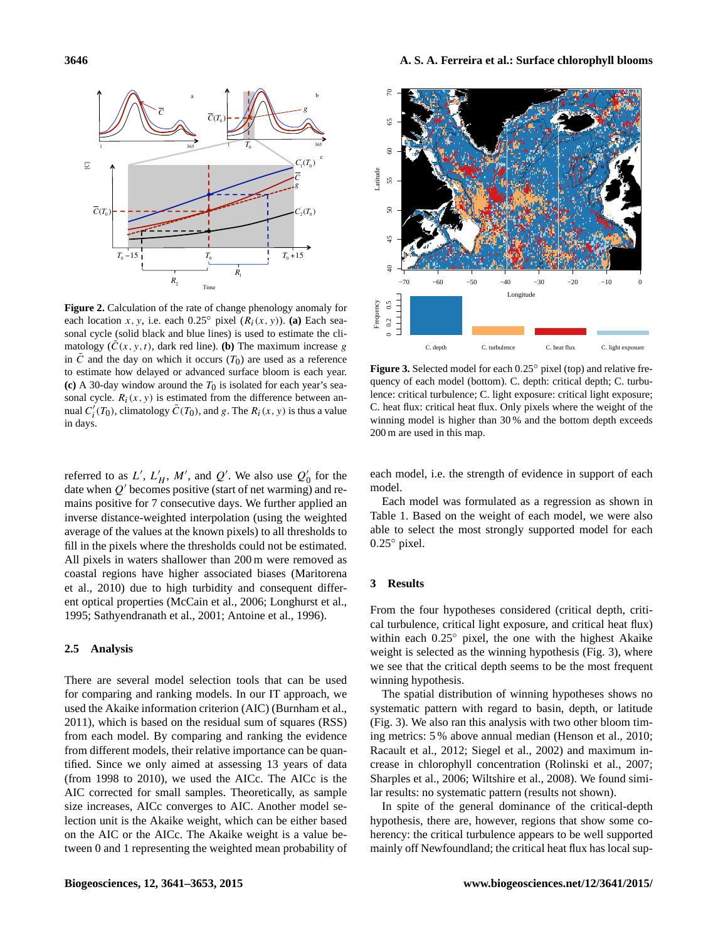<span id="page-5-1"></span>

**Figure 2.** Calculation of the rate of change phenology anomaly for each location x, y, i.e. each  $0.25^{\circ}$  pixel  $(R_i(x, y))$ . (a) Each seasonal cycle (solid black and blue lines) is used to estimate the climatology  $(C(x, y, t))$ , dark red line). **(b)** The maximum increase g in  $\overline{C}$  and the day on which it occurs  $(T_0)$  are used as a reference to estimate how delayed or advanced surface bloom is each year. (c) A 30-day window around the  $T_0$  is isolated for each year's seasonal cycle.  $R_i(x, y)$  is estimated from the difference between annual  $C_i'(T_0)$ , climatology  $\bar{C}(T_0)$ , and g. The  $R_i(x, y)$  is thus a value in days.

referred to as L',  $L'_H$ , M', and Q'. We also use  $Q'_0$  for the date when  $Q'$  becomes positive (start of net warming) and remains positive for 7 consecutive days. We further applied an inverse distance-weighted interpolation (using the weighted average of the values at the known pixels) to all thresholds to fill in the pixels where the thresholds could not be estimated. All pixels in waters shallower than 200 m were removed as coastal regions have higher associated biases [\(Maritorena](#page-11-20) [et al.,](#page-11-20) [2010\)](#page-11-20) due to high turbidity and consequent different optical properties [\(McCain et al.,](#page-11-29) [2006;](#page-11-29) [Longhurst et al.,](#page-11-30) [1995;](#page-11-30) [Sathyendranath et al.,](#page-11-31) [2001;](#page-11-31) [Antoine et al.,](#page-10-24) [1996\)](#page-10-24).

# <span id="page-5-0"></span>**2.5 Analysis**

There are several model selection tools that can be used for comparing and ranking models. In our IT approach, we used the Akaike information criterion (AIC) [\(Burnham et al.,](#page-10-16) [2011\)](#page-10-16), which is based on the residual sum of squares (RSS) from each model. By comparing and ranking the evidence from different models, their relative importance can be quantified. Since we only aimed at assessing 13 years of data (from 1998 to 2010), we used the AICc. The AICc is the AIC corrected for small samples. Theoretically, as sample size increases, AICc converges to AIC. Another model selection unit is the Akaike weight, which can be either based on the AIC or the AICc. The Akaike weight is a value between 0 and 1 representing the weighted mean probability of

<span id="page-5-2"></span>

**Figure 3.** Selected model for each 0.25◦ pixel (top) and relative frequency of each model (bottom). C. depth: critical depth; C. turbulence: critical turbulence; C. light exposure: critical light exposure; C. heat flux: critical heat flux. Only pixels where the weight of the winning model is higher than 30 % and the bottom depth exceeds 200 m are used in this map.

each model, i.e. the strength of evidence in support of each model.

Each model was formulated as a regression as shown in Table [1.](#page-2-0) Based on the weight of each model, we were also able to select the most strongly supported model for each 0.25◦ pixel.

# **3 Results**

From the four hypotheses considered (critical depth, critical turbulence, critical light exposure, and critical heat flux) within each  $0.25^\circ$  pixel, the one with the highest Akaike weight is selected as the winning hypothesis (Fig. [3\)](#page-5-2), where we see that the critical depth seems to be the most frequent winning hypothesis.

The spatial distribution of winning hypotheses shows no systematic pattern with regard to basin, depth, or latitude (Fig. [3\)](#page-5-2). We also ran this analysis with two other bloom timing metrics: 5 % above annual median [\(Henson et al.,](#page-11-32) [2010;](#page-11-32) [Racault et al.,](#page-11-33) [2012;](#page-11-33) [Siegel et al.,](#page-11-10) [2002\)](#page-11-10) and maximum increase in chlorophyll concentration [\(Rolinski et al.,](#page-11-16) [2007;](#page-11-16) [Sharples et al.,](#page-11-28) [2006;](#page-11-28) [Wiltshire et al.,](#page-12-9) [2008\)](#page-12-9). We found similar results: no systematic pattern (results not shown).

In spite of the general dominance of the critical-depth hypothesis, there are, however, regions that show some coherency: the critical turbulence appears to be well supported mainly off Newfoundland; the critical heat flux has local sup-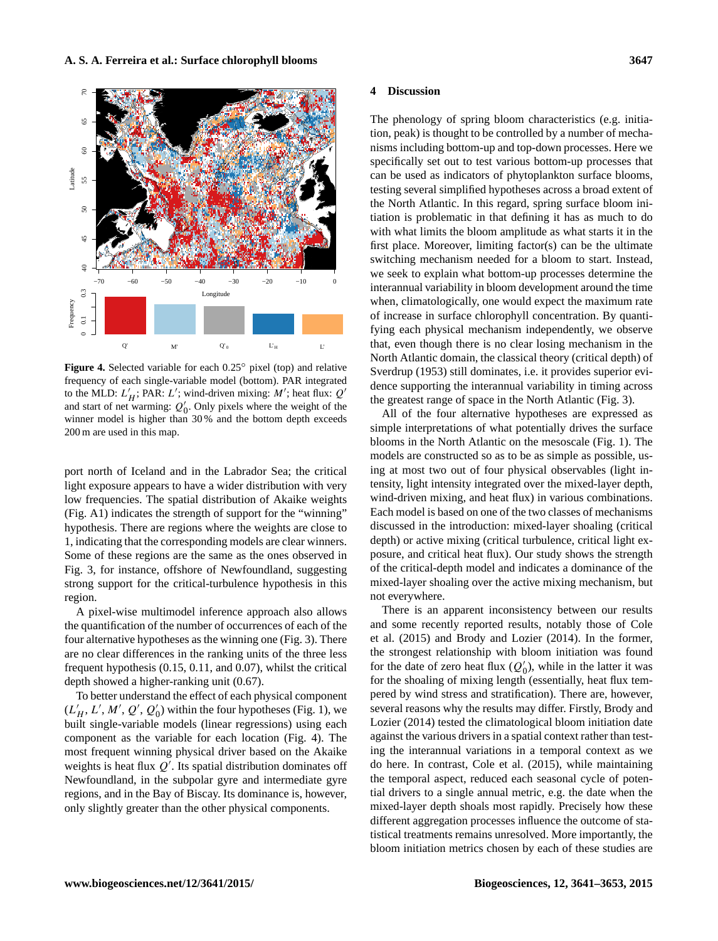<span id="page-6-0"></span>

**Figure 4.** Selected variable for each 0.25◦ pixel (top) and relative frequency of each single-variable model (bottom). PAR integrated to the MLD:  $L'_H$ ; PAR: L'; wind-driven mixing: M'; heat flux: Q' and start of net warming:  $Q'_0$ . Only pixels where the weight of the winner model is higher than 30 % and the bottom depth exceeds 200 m are used in this map.

port north of Iceland and in the Labrador Sea; the critical light exposure appears to have a wider distribution with very low frequencies. The spatial distribution of Akaike weights (Fig. [A1\)](#page-9-0) indicates the strength of support for the "winning" hypothesis. There are regions where the weights are close to 1, indicating that the corresponding models are clear winners. Some of these regions are the same as the ones observed in Fig. [3,](#page-5-2) for instance, offshore of Newfoundland, suggesting strong support for the critical-turbulence hypothesis in this region.

A pixel-wise multimodel inference approach also allows the quantification of the number of occurrences of each of the four alternative hypotheses as the winning one (Fig. [3\)](#page-5-2). There are no clear differences in the ranking units of the three less frequent hypothesis (0.15, 0.11, and 0.07), whilst the critical depth showed a higher-ranking unit (0.67).

To better understand the effect of each physical component  $(L'_H, L', M', Q', Q'_0)$  within the four hypotheses (Fig. [1\)](#page-1-0), we built single-variable models (linear regressions) using each component as the variable for each location (Fig. [4\)](#page-6-0). The most frequent winning physical driver based on the Akaike weights is heat flux  $Q'$ . Its spatial distribution dominates off Newfoundland, in the subpolar gyre and intermediate gyre regions, and in the Bay of Biscay. Its dominance is, however, only slightly greater than the other physical components.

#### **4 Discussion**

The phenology of spring bloom characteristics (e.g. initiation, peak) is thought to be controlled by a number of mechanisms including bottom-up and top-down processes. Here we specifically set out to test various bottom-up processes that can be used as indicators of phytoplankton surface blooms, testing several simplified hypotheses across a broad extent of the North Atlantic. In this regard, spring surface bloom initiation is problematic in that defining it has as much to do with what limits the bloom amplitude as what starts it in the first place. Moreover, limiting factor(s) can be the ultimate switching mechanism needed for a bloom to start. Instead, we seek to explain what bottom-up processes determine the interannual variability in bloom development around the time when, climatologically, one would expect the maximum rate of increase in surface chlorophyll concentration. By quantifying each physical mechanism independently, we observe that, even though there is no clear losing mechanism in the North Atlantic domain, the classical theory (critical depth) of [Sverdrup](#page-12-3) [\(1953\)](#page-12-3) still dominates, i.e. it provides superior evidence supporting the interannual variability in timing across the greatest range of space in the North Atlantic (Fig. [3\)](#page-5-2).

All of the four alternative hypotheses are expressed as simple interpretations of what potentially drives the surface blooms in the North Atlantic on the mesoscale (Fig. [1\)](#page-1-0). The models are constructed so as to be as simple as possible, using at most two out of four physical observables (light intensity, light intensity integrated over the mixed-layer depth, wind-driven mixing, and heat flux) in various combinations. Each model is based on one of the two classes of mechanisms discussed in the introduction: mixed-layer shoaling (critical depth) or active mixing (critical turbulence, critical light exposure, and critical heat flux). Our study shows the strength of the critical-depth model and indicates a dominance of the mixed-layer shoaling over the active mixing mechanism, but not everywhere.

There is an apparent inconsistency between our results and some recently reported results, notably those of [Cole](#page-10-15) [et al.](#page-10-15) [\(2015\)](#page-10-15) and [Brody and Lozier](#page-10-22) [\(2014\)](#page-10-22). In the former, the strongest relationship with bloom initiation was found for the date of zero heat flux  $(Q'_0)$ , while in the latter it was for the shoaling of mixing length (essentially, heat flux tempered by wind stress and stratification). There are, however, several reasons why the results may differ. Firstly, [Brody and](#page-10-22) [Lozier](#page-10-22) [\(2014\)](#page-10-22) tested the climatological bloom initiation date against the various drivers in a spatial context rather than testing the interannual variations in a temporal context as we do here. In contrast, [Cole et al.](#page-10-15) [\(2015\)](#page-10-15), while maintaining the temporal aspect, reduced each seasonal cycle of potential drivers to a single annual metric, e.g. the date when the mixed-layer depth shoals most rapidly. Precisely how these different aggregation processes influence the outcome of statistical treatments remains unresolved. More importantly, the bloom initiation metrics chosen by each of these studies are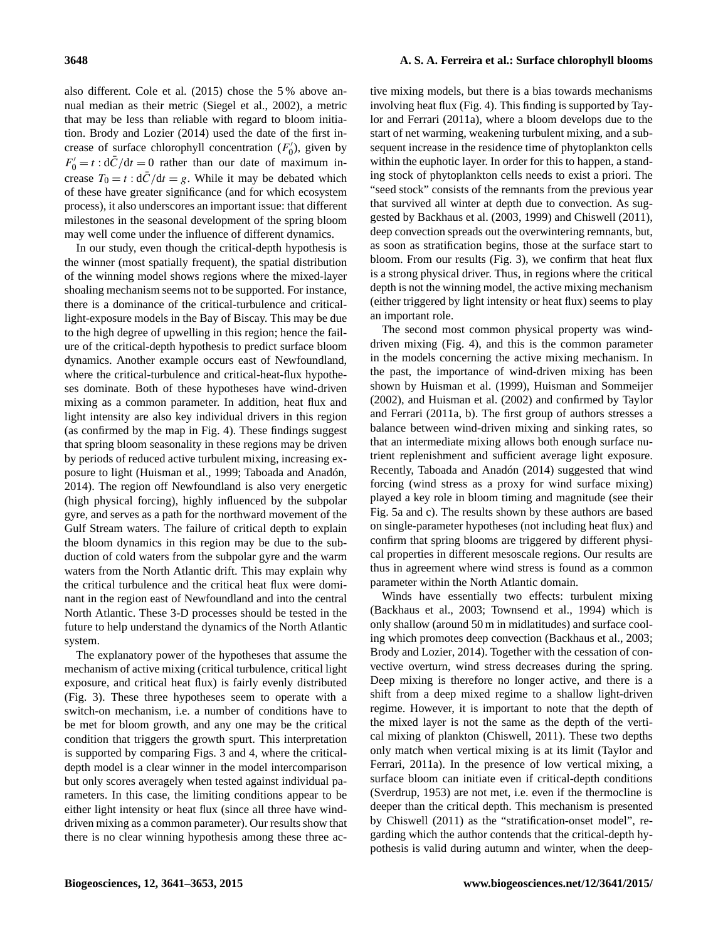also different. [Cole et al.](#page-10-15) [\(2015\)](#page-10-15) chose the 5 % above annual median as their metric [\(Siegel et al.,](#page-11-10) [2002\)](#page-11-10), a metric that may be less than reliable with regard to bloom initiation. [Brody and Lozier](#page-10-22) [\(2014\)](#page-10-22) used the date of the first increase of surface chlorophyll concentration  $(F'_0)$ , given by  $F'_0 = t : d\bar{C}/dt = 0$  rather than our date of maximum increase  $T_0 = t : d\bar{C}/dt = g$ . While it may be debated which of these have greater significance (and for which ecosystem process), it also underscores an important issue: that different milestones in the seasonal development of the spring bloom may well come under the influence of different dynamics.

In our study, even though the critical-depth hypothesis is the winner (most spatially frequent), the spatial distribution of the winning model shows regions where the mixed-layer shoaling mechanism seems not to be supported. For instance, there is a dominance of the critical-turbulence and criticallight-exposure models in the Bay of Biscay. This may be due to the high degree of upwelling in this region; hence the failure of the critical-depth hypothesis to predict surface bloom dynamics. Another example occurs east of Newfoundland, where the critical-turbulence and critical-heat-flux hypotheses dominate. Both of these hypotheses have wind-driven mixing as a common parameter. In addition, heat flux and light intensity are also key individual drivers in this region (as confirmed by the map in Fig. [4\)](#page-6-0). These findings suggest that spring bloom seasonality in these regions may be driven by periods of reduced active turbulent mixing, increasing exposure to light [\(Huisman et al.,](#page-11-11) [1999;](#page-11-11) [Taboada and Anadón,](#page-12-8) [2014\)](#page-12-8). The region off Newfoundland is also very energetic (high physical forcing), highly influenced by the subpolar gyre, and serves as a path for the northward movement of the Gulf Stream waters. The failure of critical depth to explain the bloom dynamics in this region may be due to the subduction of cold waters from the subpolar gyre and the warm waters from the North Atlantic drift. This may explain why the critical turbulence and the critical heat flux were dominant in the region east of Newfoundland and into the central North Atlantic. These 3-D processes should be tested in the future to help understand the dynamics of the North Atlantic system.

The explanatory power of the hypotheses that assume the mechanism of active mixing (critical turbulence, critical light exposure, and critical heat flux) is fairly evenly distributed (Fig. [3\)](#page-5-2). These three hypotheses seem to operate with a switch-on mechanism, i.e. a number of conditions have to be met for bloom growth, and any one may be the critical condition that triggers the growth spurt. This interpretation is supported by comparing Figs. [3](#page-5-2) and [4,](#page-6-0) where the criticaldepth model is a clear winner in the model intercomparison but only scores averagely when tested against individual parameters. In this case, the limiting conditions appear to be either light intensity or heat flux (since all three have winddriven mixing as a common parameter). Our results show that there is no clear winning hypothesis among these three active mixing models, but there is a bias towards mechanisms involving heat flux (Fig. [4\)](#page-6-0). This finding is supported by [Tay](#page-12-5)[lor and Ferrari](#page-12-5) [\(2011a\)](#page-12-5), where a bloom develops due to the start of net warming, weakening turbulent mixing, and a subsequent increase in the residence time of phytoplankton cells within the euphotic layer. In order for this to happen, a standing stock of phytoplankton cells needs to exist a priori. The "seed stock" consists of the remnants from the previous year that survived all winter at depth due to convection. As suggested by [Backhaus et al.](#page-10-14) [\(2003,](#page-10-14) [1999\)](#page-10-13) and [Chiswell](#page-10-11) [\(2011\)](#page-10-11), deep convection spreads out the overwintering remnants, but, as soon as stratification begins, those at the surface start to bloom. From our results (Fig. [3\)](#page-5-2), we confirm that heat flux is a strong physical driver. Thus, in regions where the critical depth is not the winning model, the active mixing mechanism (either triggered by light intensity or heat flux) seems to play an important role.

The second most common physical property was winddriven mixing (Fig. [4\)](#page-6-0), and this is the common parameter in the models concerning the active mixing mechanism. In the past, the importance of wind-driven mixing has been shown by [Huisman et al.](#page-11-11) [\(1999\)](#page-11-11), [Huisman and Sommeijer](#page-11-13) [\(2002\)](#page-11-13), and [Huisman et al.](#page-11-12) [\(2002\)](#page-11-12) and confirmed by [Taylor](#page-12-5) [and Ferrari](#page-12-5) [\(2011a,](#page-12-5) [b\)](#page-12-6). The first group of authors stresses a balance between wind-driven mixing and sinking rates, so that an intermediate mixing allows both enough surface nutrient replenishment and sufficient average light exposure. Recently, [Taboada and Anadón](#page-12-8) [\(2014\)](#page-12-8) suggested that wind forcing (wind stress as a proxy for wind surface mixing) played a key role in bloom timing and magnitude (see their Fig. 5a and c). The results shown by these authors are based on single-parameter hypotheses (not including heat flux) and confirm that spring blooms are triggered by different physical properties in different mesoscale regions. Our results are thus in agreement where wind stress is found as a common parameter within the North Atlantic domain.

Winds have essentially two effects: turbulent mixing [\(Backhaus et al.,](#page-10-14) [2003;](#page-10-14) [Townsend et al.,](#page-12-2) [1994\)](#page-12-2) which is only shallow (around 50 m in midlatitudes) and surface cooling which promotes deep convection [\(Backhaus et al.,](#page-10-14) [2003;](#page-10-14) [Brody and Lozier,](#page-10-22) [2014\)](#page-10-22). Together with the cessation of convective overturn, wind stress decreases during the spring. Deep mixing is therefore no longer active, and there is a shift from a deep mixed regime to a shallow light-driven regime. However, it is important to note that the depth of the mixed layer is not the same as the depth of the vertical mixing of plankton [\(Chiswell,](#page-10-11) [2011\)](#page-10-11). These two depths only match when vertical mixing is at its limit [\(Taylor and](#page-12-5) [Ferrari,](#page-12-5) [2011a\)](#page-12-5). In the presence of low vertical mixing, a surface bloom can initiate even if critical-depth conditions [\(Sverdrup,](#page-12-3) [1953\)](#page-12-3) are not met, i.e. even if the thermocline is deeper than the critical depth. This mechanism is presented by [Chiswell](#page-10-11) [\(2011\)](#page-10-11) as the "stratification-onset model", regarding which the author contends that the critical-depth hypothesis is valid during autumn and winter, when the deep-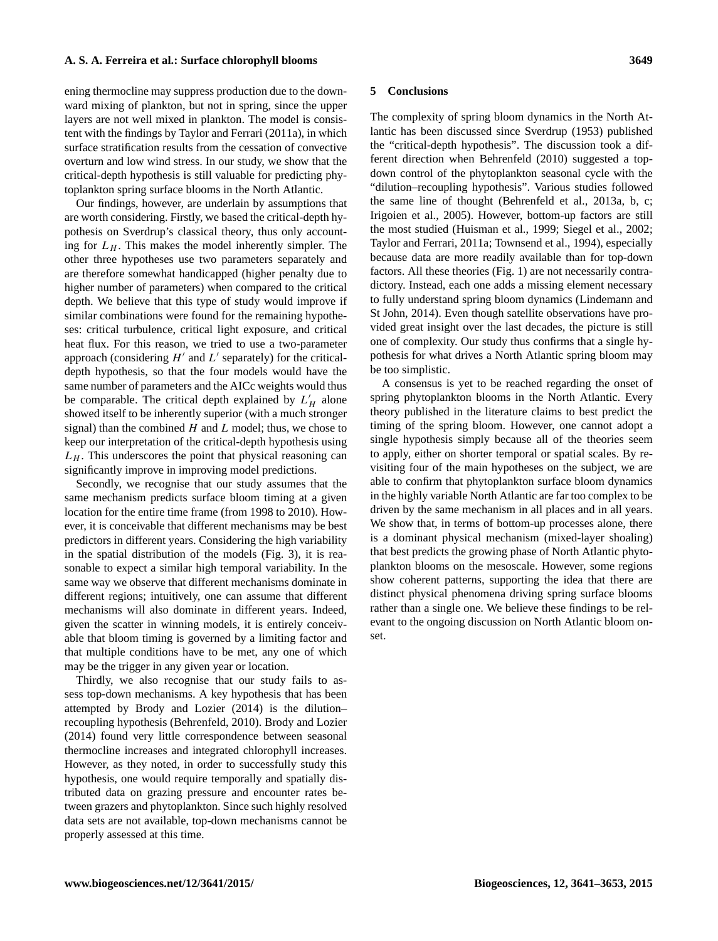ening thermocline may suppress production due to the downward mixing of plankton, but not in spring, since the upper layers are not well mixed in plankton. The model is consistent with the findings by [Taylor and Ferrari](#page-12-5) [\(2011a\)](#page-12-5), in which surface stratification results from the cessation of convective overturn and low wind stress. In our study, we show that the critical-depth hypothesis is still valuable for predicting phytoplankton spring surface blooms in the North Atlantic.

Our findings, however, are underlain by assumptions that are worth considering. Firstly, we based the critical-depth hypothesis on Sverdrup's classical theory, thus only accounting for  $L_H$ . This makes the model inherently simpler. The other three hypotheses use two parameters separately and are therefore somewhat handicapped (higher penalty due to higher number of parameters) when compared to the critical depth. We believe that this type of study would improve if similar combinations were found for the remaining hypotheses: critical turbulence, critical light exposure, and critical heat flux. For this reason, we tried to use a two-parameter approach (considering  $H'$  and  $L'$  separately) for the criticaldepth hypothesis, so that the four models would have the same number of parameters and the AICc weights would thus be comparable. The critical depth explained by  $L'_H$  alone showed itself to be inherently superior (with a much stronger signal) than the combined  $H$  and  $L$  model; thus, we chose to keep our interpretation of the critical-depth hypothesis using  $L_H$ . This underscores the point that physical reasoning can significantly improve in improving model predictions.

Secondly, we recognise that our study assumes that the same mechanism predicts surface bloom timing at a given location for the entire time frame (from 1998 to 2010). However, it is conceivable that different mechanisms may be best predictors in different years. Considering the high variability in the spatial distribution of the models (Fig. [3\)](#page-5-2), it is reasonable to expect a similar high temporal variability. In the same way we observe that different mechanisms dominate in different regions; intuitively, one can assume that different mechanisms will also dominate in different years. Indeed, given the scatter in winning models, it is entirely conceivable that bloom timing is governed by a limiting factor and that multiple conditions have to be met, any one of which may be the trigger in any given year or location.

Thirdly, we also recognise that our study fails to assess top-down mechanisms. A key hypothesis that has been attempted by [Brody and Lozier](#page-10-22) [\(2014\)](#page-10-22) is the dilution– recoupling hypothesis [\(Behrenfeld,](#page-10-4) [2010\)](#page-10-4). [Brody and Lozier](#page-10-22) [\(2014\)](#page-10-22) found very little correspondence between seasonal thermocline increases and integrated chlorophyll increases. However, as they noted, in order to successfully study this hypothesis, one would require temporally and spatially distributed data on grazing pressure and encounter rates between grazers and phytoplankton. Since such highly resolved data sets are not available, top-down mechanisms cannot be properly assessed at this time.

#### **5 Conclusions**

The complexity of spring bloom dynamics in the North Atlantic has been discussed since [Sverdrup](#page-12-3) [\(1953\)](#page-12-3) published the "critical-depth hypothesis". The discussion took a different direction when [Behrenfeld](#page-10-4) [\(2010\)](#page-10-4) suggested a topdown control of the phytoplankton seasonal cycle with the "dilution–recoupling hypothesis". Various studies followed the same line of thought [\(Behrenfeld et al.,](#page-10-10) [2013a,](#page-10-10) [b,](#page-10-25) [c;](#page-10-26) [Irigoien et al.,](#page-11-17) [2005\)](#page-11-17). However, bottom-up factors are still the most studied [\(Huisman et al.,](#page-11-11) [1999;](#page-11-11) [Siegel et al.,](#page-11-10) [2002;](#page-11-10) [Taylor and Ferrari,](#page-12-5) [2011a;](#page-12-5) [Townsend et al.,](#page-12-2) [1994\)](#page-12-2), especially because data are more readily available than for top-down factors. All these theories (Fig. [1\)](#page-2-0) are not necessarily contradictory. Instead, each one adds a missing element necessary to fully understand spring bloom dynamics [\(Lindemann and](#page-11-9) [St John,](#page-11-9) [2014\)](#page-11-9). Even though satellite observations have provided great insight over the last decades, the picture is still one of complexity. Our study thus confirms that a single hypothesis for what drives a North Atlantic spring bloom may be too simplistic.

A consensus is yet to be reached regarding the onset of spring phytoplankton blooms in the North Atlantic. Every theory published in the literature claims to best predict the timing of the spring bloom. However, one cannot adopt a single hypothesis simply because all of the theories seem to apply, either on shorter temporal or spatial scales. By revisiting four of the main hypotheses on the subject, we are able to confirm that phytoplankton surface bloom dynamics in the highly variable North Atlantic are far too complex to be driven by the same mechanism in all places and in all years. We show that, in terms of bottom-up processes alone, there is a dominant physical mechanism (mixed-layer shoaling) that best predicts the growing phase of North Atlantic phytoplankton blooms on the mesoscale. However, some regions show coherent patterns, supporting the idea that there are distinct physical phenomena driving spring surface blooms rather than a single one. We believe these findings to be relevant to the ongoing discussion on North Atlantic bloom onset.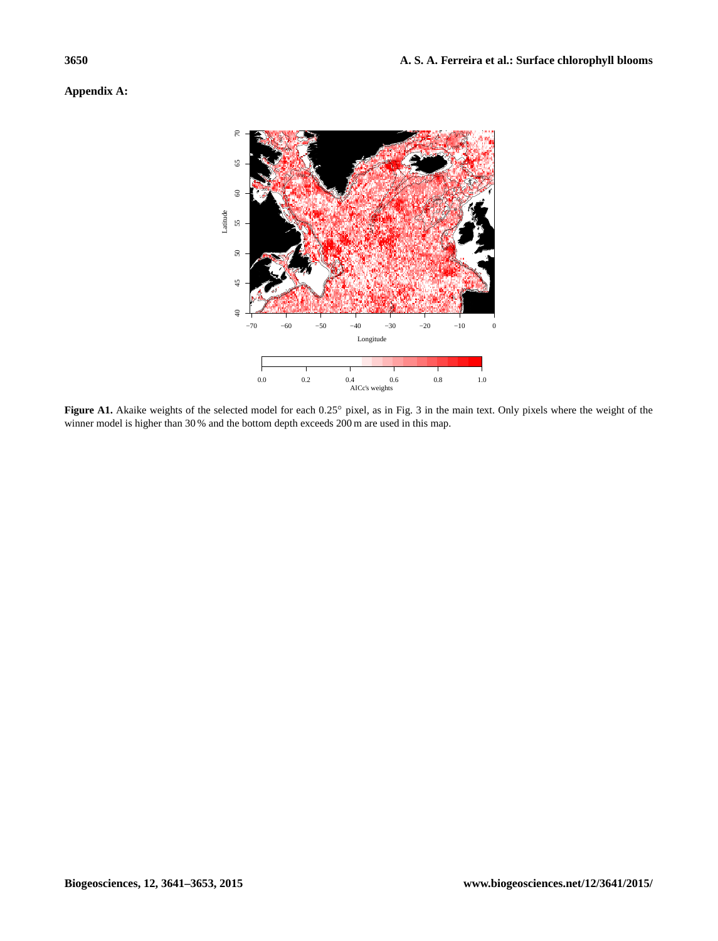# <span id="page-9-0"></span>**Appendix A:**



**Figure A1.** Akaike weights of the selected model for each 0.25◦ pixel, as in Fig. [3](#page-5-2) in the main text. Only pixels where the weight of the winner model is higher than 30 % and the bottom depth exceeds 200 m are used in this map.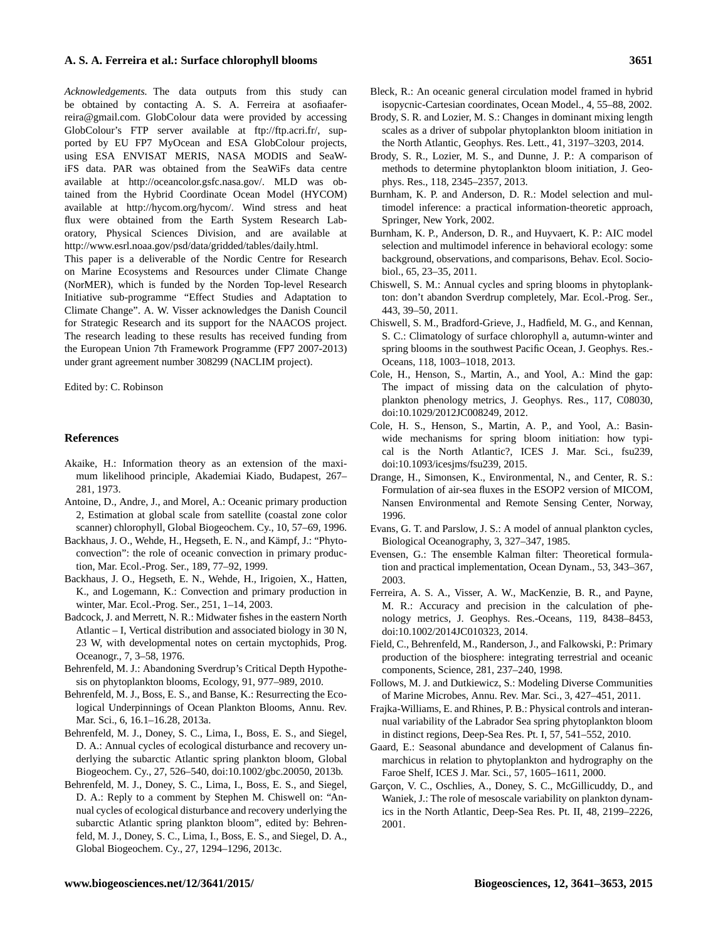*Acknowledgements.* The data outputs from this study can be obtained by contacting A. S. A. Ferreira at asofiaaferreira@gmail.com. GlobColour data were provided by accessing GlobColour's FTP server available at [ftp://ftp.acri.fr/,](ftp://ftp.acri.fr/) supported by EU FP7 MyOcean and ESA GlobColour projects, using ESA ENVISAT MERIS, NASA MODIS and SeaWiFS data. PAR was obtained from the SeaWiFs data centre available at [http://oceancolor.gsfc.nasa.gov/.](http://oceancolor.gsfc.nasa.gov/) MLD was obtained from the Hybrid Coordinate Ocean Model (HYCOM) available at [http://hycom.org/hycom/.](http://hycom.org/hycom/) Wind stress and heat flux were obtained from the Earth System Research Laboratory, Physical Sciences Division, and are available at [http://www.esrl.noaa.gov/psd/data/gridded/tables/daily.html.](http://www.esrl.noaa.gov/psd/data/gridded/tables/daily.html)

This paper is a deliverable of the Nordic Centre for Research on Marine Ecosystems and Resources under Climate Change (NorMER), which is funded by the Norden Top-level Research Initiative sub-programme "Effect Studies and Adaptation to Climate Change". A. W. Visser acknowledges the Danish Council for Strategic Research and its support for the NAACOS project. The research leading to these results has received funding from the European Union 7th Framework Programme (FP7 2007-2013) under grant agreement number 308299 (NACLIM project).

Edited by: C. Robinson

# **References**

- <span id="page-10-17"></span>Akaike, H.: Information theory as an extension of the maximum likelihood principle, Akademiai Kiado, Budapest, 267– 281, 1973.
- <span id="page-10-24"></span>Antoine, D., Andre, J., and Morel, A.: Oceanic primary production 2, Estimation at global scale from satellite (coastal zone color scanner) chlorophyll, Global Biogeochem. Cy., 10, 57–69, 1996.
- <span id="page-10-13"></span>Backhaus, J. O., Wehde, H., Hegseth, E. N., and Kämpf, J.: "Phytoconvection": the role of oceanic convection in primary production, Mar. Ecol.-Prog. Ser., 189, 77–92, 1999.
- <span id="page-10-14"></span>Backhaus, J. O., Hegseth, E. N., Wehde, H., Irigoien, X., Hatten, K., and Logemann, K.: Convection and primary production in winter, Mar. Ecol.-Prog. Ser., 251, 1–14, 2003.
- <span id="page-10-2"></span>Badcock, J. and Merrett, N. R.: Midwater fishes in the eastern North Atlantic – I, Vertical distribution and associated biology in 30 N, 23 W, with developmental notes on certain myctophids, Prog. Oceanogr., 7, 3–58, 1976.
- <span id="page-10-4"></span>Behrenfeld, M. J.: Abandoning Sverdrup's Critical Depth Hypothesis on phytoplankton blooms, Ecology, 91, 977–989, 2010.
- <span id="page-10-10"></span>Behrenfeld, M. J., Boss, E. S., and Banse, K.: Resurrecting the Ecological Underpinnings of Ocean Plankton Blooms, Annu. Rev. Mar. Sci., 6, 16.1–16.28, 2013a.
- <span id="page-10-25"></span>Behrenfeld, M. J., Doney, S. C., Lima, I., Boss, E. S., and Siegel, D. A.: Annual cycles of ecological disturbance and recovery underlying the subarctic Atlantic spring plankton bloom, Global Biogeochem. Cy., 27, 526–540, doi[:10.1002/gbc.20050,](http://dx.doi.org/10.1002/gbc.20050) 2013b.
- <span id="page-10-26"></span>Behrenfeld, M. J., Doney, S. C., Lima, I., Boss, E. S., and Siegel, D. A.: Reply to a comment by Stephen M. Chiswell on: "Annual cycles of ecological disturbance and recovery underlying the subarctic Atlantic spring plankton bloom", edited by: Behrenfeld, M. J., Doney, S. C., Lima, I., Boss, E. S., and Siegel, D. A., Global Biogeochem. Cy., 27, 1294–1296, 2013c.
- <span id="page-10-19"></span>Bleck, R.: An oceanic general circulation model framed in hybrid isopycnic-Cartesian coordinates, Ocean Model., 4, 55–88, 2002.
- <span id="page-10-22"></span>Brody, S. R. and Lozier, M. S.: Changes in dominant mixing length scales as a driver of subpolar phytoplankton bloom initiation in the North Atlantic, Geophys. Res. Lett., 41, 3197–3203, 2014.
- <span id="page-10-8"></span>Brody, S. R., Lozier, M. S., and Dunne, J. P.: A comparison of methods to determine phytoplankton bloom initiation, J. Geophys. Res., 118, 2345–2357, 2013.
- <span id="page-10-18"></span>Burnham, K. P. and Anderson, D. R.: Model selection and multimodel inference: a practical information-theoretic approach, Springer, New York, 2002.
- <span id="page-10-16"></span>Burnham, K. P., Anderson, D. R., and Huyvaert, K. P.: AIC model selection and multimodel inference in behavioral ecology: some background, observations, and comparisons, Behav. Ecol. Sociobiol., 65, 23–35, 2011.
- <span id="page-10-11"></span>Chiswell, S. M.: Annual cycles and spring blooms in phytoplankton: don't abandon Sverdrup completely, Mar. Ecol.-Prog. Ser., 443, 39–50, 2011.
- <span id="page-10-5"></span>Chiswell, S. M., Bradford-Grieve, J., Hadfield, M. G., and Kennan, S. C.: Climatology of surface chlorophyll a, autumn-winter and spring blooms in the southwest Pacific Ocean, J. Geophys. Res.- Oceans, 118, 1003–1018, 2013.
- <span id="page-10-7"></span>Cole, H., Henson, S., Martin, A., and Yool, A.: Mind the gap: The impact of missing data on the calculation of phytoplankton phenology metrics, J. Geophys. Res., 117, C08030, doi[:10.1029/2012JC008249,](http://dx.doi.org/10.1029/2012JC008249) 2012.
- <span id="page-10-15"></span>Cole, H. S., Henson, S., Martin, A. P., and Yool, A.: Basinwide mechanisms for spring bloom initiation: how typical is the North Atlantic?, ICES J. Mar. Sci., fsu239, doi[:10.1093/icesjms/fsu239,](http://dx.doi.org/10.1093/icesjms/fsu239) 2015.
- <span id="page-10-20"></span>Drange, H., Simonsen, K., Environmental, N., and Center, R. S.: Formulation of air-sea fluxes in the ESOP2 version of MICOM, Nansen Environmental and Remote Sensing Center, Norway, 1996.
- <span id="page-10-9"></span>Evans, G. T. and Parslow, J. S.: A model of annual plankton cycles, Biological Oceanography, 3, 327–347, 1985.
- <span id="page-10-21"></span>Evensen, G.: The ensemble Kalman filter: Theoretical formulation and practical implementation, Ocean Dynam., 53, 343–367, 2003.
- <span id="page-10-6"></span>Ferreira, A. S. A., Visser, A. W., MacKenzie, B. R., and Payne, M. R.: Accuracy and precision in the calculation of phenology metrics, J. Geophys. Res.-Oceans, 119, 8438–8453, doi[:10.1002/2014JC010323,](http://dx.doi.org/10.1002/2014JC010323) 2014.
- <span id="page-10-0"></span>Field, C., Behrenfeld, M., Randerson, J., and Falkowski, P.: Primary production of the biosphere: integrating terrestrial and oceanic components, Science, 281, 237–240, 1998.
- <span id="page-10-23"></span>Follows, M. J. and Dutkiewicz, S.: Modeling Diverse Communities of Marine Microbes, Annu. Rev. Mar. Sci., 3, 427–451, 2011.
- <span id="page-10-3"></span>Frajka-Williams, E. and Rhines, P. B.: Physical controls and interannual variability of the Labrador Sea spring phytoplankton bloom in distinct regions, Deep-Sea Res. Pt. I, 57, 541–552, 2010.
- <span id="page-10-1"></span>Gaard, E.: Seasonal abundance and development of Calanus finmarchicus in relation to phytoplankton and hydrography on the Faroe Shelf, ICES J. Mar. Sci., 57, 1605–1611, 2000.
- <span id="page-10-12"></span>Garçon, V. C., Oschlies, A., Doney, S. C., McGillicuddy, D., and Waniek, J.: The role of mesoscale variability on plankton dynamics in the North Atlantic, Deep-Sea Res. Pt. II, 48, 2199–2226, 2001.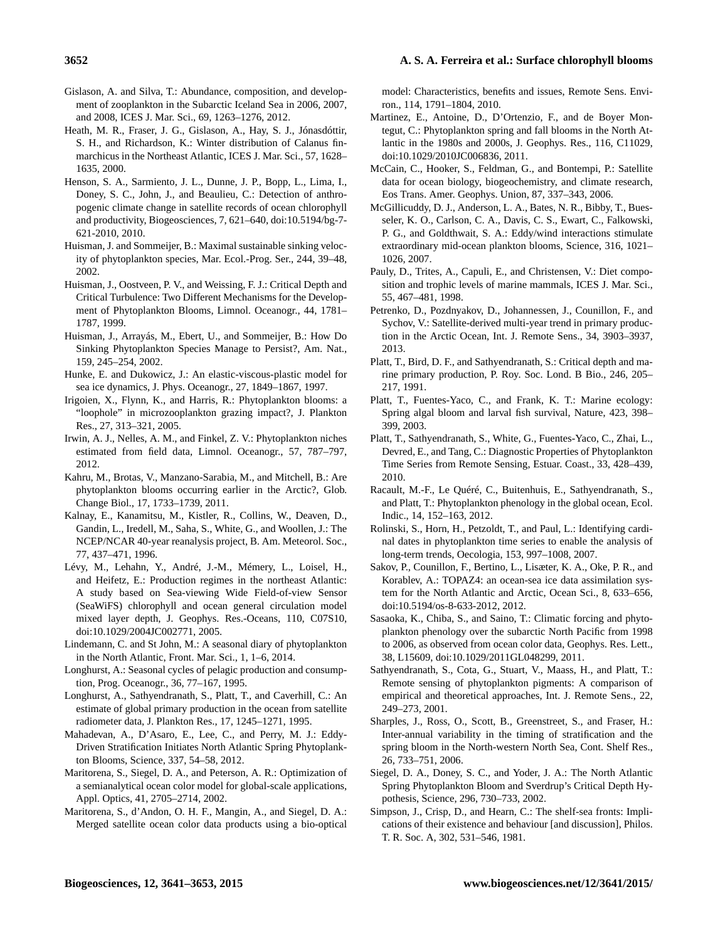- <span id="page-11-3"></span>Gislason, A. and Silva, T.: Abundance, composition, and development of zooplankton in the Subarctic Iceland Sea in 2006, 2007, and 2008, ICES J. Mar. Sci., 69, 1263–1276, 2012.
- <span id="page-11-4"></span>Heath, M. R., Fraser, J. G., Gislason, A., Hay, S. J., Jónasdóttir, S. H., and Richardson, K.: Winter distribution of Calanus finmarchicus in the Northeast Atlantic, ICES J. Mar. Sci., 57, 1628– 1635, 2000.
- <span id="page-11-32"></span>Henson, S. A., Sarmiento, J. L., Dunne, J. P., Bopp, L., Lima, I., Doney, S. C., John, J., and Beaulieu, C.: Detection of anthropogenic climate change in satellite records of ocean chlorophyll and productivity, Biogeosciences, 7, 621–640, doi[:10.5194/bg-7-](http://dx.doi.org/10.5194/bg-7-621-2010) [621-2010,](http://dx.doi.org/10.5194/bg-7-621-2010) 2010.
- <span id="page-11-13"></span>Huisman, J. and Sommeijer, B.: Maximal sustainable sinking velocity of phytoplankton species, Mar. Ecol.-Prog. Ser., 244, 39–48, 2002.
- <span id="page-11-11"></span>Huisman, J., Oostveen, P. V., and Weissing, F. J.: Critical Depth and Critical Turbulence: Two Different Mechanisms for the Development of Phytoplankton Blooms, Limnol. Oceanogr., 44, 1781– 1787, 1999.
- <span id="page-11-12"></span>Huisman, J., Arrayás, M., Ebert, U., and Sommeijer, B.: How Do Sinking Phytoplankton Species Manage to Persist?, Am. Nat., 159, 245–254, 2002.
- <span id="page-11-24"></span>Hunke, E. and Dukowicz, J.: An elastic-viscous-plastic model for sea ice dynamics, J. Phys. Oceanogr., 27, 1849–1867, 1997.
- <span id="page-11-17"></span>Irigoien, X., Flynn, K., and Harris, R.: Phytoplankton blooms: a "loophole" in microzooplankton grazing impact?, J. Plankton Res., 27, 313–321, 2005.
- <span id="page-11-22"></span>Irwin, A. J., Nelles, A. M., and Finkel, Z. V.: Phytoplankton niches estimated from field data, Limnol. Oceanogr., 57, 787–797, 2012.
- <span id="page-11-21"></span>Kahru, M., Brotas, V., Manzano-Sarabia, M., and Mitchell, B.: Are phytoplankton blooms occurring earlier in the Arctic?, Glob. Change Biol., 17, 1733–1739, 2011.
- <span id="page-11-27"></span>Kalnay, E., Kanamitsu, M., Kistler, R., Collins, W., Deaven, D., Gandin, L., Iredell, M., Saha, S., White, G., and Woollen, J.: The NCEP/NCAR 40-year reanalysis project, B. Am. Meteorol. Soc., 77, 437–471, 1996.
- <span id="page-11-6"></span>Lévy, M., Lehahn, Y., André, J.-M., Mémery, L., Loisel, H., and Heifetz, E.: Production regimes in the northeast Atlantic: A study based on Sea-viewing Wide Field-of-view Sensor (SeaWiFS) chlorophyll and ocean general circulation model mixed layer depth, J. Geophys. Res.-Oceans, 110, C07S10, doi[:10.1029/2004JC002771,](http://dx.doi.org/10.1029/2004JC002771) 2005.
- <span id="page-11-9"></span>Lindemann, C. and St John, M.: A seasonal diary of phytoplankton in the North Atlantic, Front. Mar. Sci., 1, 1–6, 2014.
- <span id="page-11-0"></span>Longhurst, A.: Seasonal cycles of pelagic production and consumption, Prog. Oceanogr., 36, 77–167, 1995.
- <span id="page-11-30"></span>Longhurst, A., Sathyendranath, S., Platt, T., and Caverhill, C.: An estimate of global primary production in the ocean from satellite radiometer data, J. Plankton Res., 17, 1245–1271, 1995.
- <span id="page-11-14"></span>Mahadevan, A., D'Asaro, E., Lee, C., and Perry, M. J.: Eddy-Driven Stratification Initiates North Atlantic Spring Phytoplankton Blooms, Science, 337, 54–58, 2012.
- <span id="page-11-19"></span>Maritorena, S., Siegel, D. A., and Peterson, A. R.: Optimization of a semianalytical ocean color model for global-scale applications, Appl. Optics, 41, 2705–2714, 2002.
- <span id="page-11-20"></span>Maritorena, S., d'Andon, O. H. F., Mangin, A., and Siegel, D. A.: Merged satellite ocean color data products using a bio-optical

model: Characteristics, benefits and issues, Remote Sens. Environ., 114, 1791–1804, 2010.

- <span id="page-11-1"></span>Martinez, E., Antoine, D., D'Ortenzio, F., and de Boyer Montegut, C.: Phytoplankton spring and fall blooms in the North Atlantic in the 1980s and 2000s, J. Geophys. Res., 116, C11029, doi[:10.1029/2010JC006836,](http://dx.doi.org/10.1029/2010JC006836) 2011.
- <span id="page-11-29"></span>McCain, C., Hooker, S., Feldman, G., and Bontempi, P.: Satellite data for ocean biology, biogeochemistry, and climate research, Eos Trans. Amer. Geophys. Union, 87, 337–343, 2006.
- <span id="page-11-15"></span>McGillicuddy, D. J., Anderson, L. A., Bates, N. R., Bibby, T., Buesseler, K. O., Carlson, C. A., Davis, C. S., Ewart, C., Falkowski, P. G., and Goldthwait, S. A.: Eddy/wind interactions stimulate extraordinary mid-ocean plankton blooms, Science, 316, 1021– 1026, 2007.
- <span id="page-11-5"></span>Pauly, D., Trites, A., Capuli, E., and Christensen, V.: Diet composition and trophic levels of marine mammals, ICES J. Mar. Sci., 55, 467–481, 1998.
- <span id="page-11-25"></span>Petrenko, D., Pozdnyakov, D., Johannessen, J., Counillon, F., and Sychov, V.: Satellite-derived multi-year trend in primary production in the Arctic Ocean, Int. J. Remote Sens., 34, 3903–3937, 2013.
- <span id="page-11-18"></span>Platt, T., Bird, D. F., and Sathyendranath, S.: Critical depth and marine primary production, P. Roy. Soc. Lond. B Bio., 246, 205– 217, 1991.
- <span id="page-11-7"></span>Platt, T., Fuentes-Yaco, C., and Frank, K. T.: Marine ecology: Spring algal bloom and larval fish survival, Nature, 423, 398– 399, 2003.
- <span id="page-11-2"></span>Platt, T., Sathyendranath, S., White, G., Fuentes-Yaco, C., Zhai, L., Devred, E., and Tang, C.: Diagnostic Properties of Phytoplankton Time Series from Remote Sensing, Estuar. Coast., 33, 428–439, 2010.
- <span id="page-11-33"></span>Racault, M.-F., Le Quéré, C., Buitenhuis, E., Sathyendranath, S., and Platt, T.: Phytoplankton phenology in the global ocean, Ecol. Indic., 14, 152–163, 2012.
- <span id="page-11-16"></span>Rolinski, S., Horn, H., Petzoldt, T., and Paul, L.: Identifying cardinal dates in phytoplankton time series to enable the analysis of long-term trends, Oecologia, 153, 997–1008, 2007.
- <span id="page-11-23"></span>Sakov, P., Counillon, F., Bertino, L., Lisæter, K. A., Oke, P. R., and Korablev, A.: TOPAZ4: an ocean-sea ice data assimilation system for the North Atlantic and Arctic, Ocean Sci., 8, 633–656, doi[:10.5194/os-8-633-2012,](http://dx.doi.org/10.5194/os-8-633-2012) 2012.
- <span id="page-11-8"></span>Sasaoka, K., Chiba, S., and Saino, T.: Climatic forcing and phytoplankton phenology over the subarctic North Pacific from 1998 to 2006, as observed from ocean color data, Geophys. Res. Lett., 38, L15609, doi[:10.1029/2011GL048299,](http://dx.doi.org/10.1029/2011GL048299) 2011.
- <span id="page-11-31"></span>Sathyendranath, S., Cota, G., Stuart, V., Maass, H., and Platt, T.: Remote sensing of phytoplankton pigments: A comparison of empirical and theoretical approaches, Int. J. Remote Sens., 22, 249–273, 2001.
- <span id="page-11-28"></span>Sharples, J., Ross, O., Scott, B., Greenstreet, S., and Fraser, H.: Inter-annual variability in the timing of stratification and the spring bloom in the North-western North Sea, Cont. Shelf Res., 26, 733–751, 2006.
- <span id="page-11-10"></span>Siegel, D. A., Doney, S. C., and Yoder, J. A.: The North Atlantic Spring Phytoplankton Bloom and Sverdrup's Critical Depth Hypothesis, Science, 296, 730–733, 2002.
- <span id="page-11-26"></span>Simpson, J., Crisp, D., and Hearn, C.: The shelf-sea fronts: Implications of their existence and behaviour [and discussion], Philos. T. R. Soc. A, 302, 531–546, 1981.